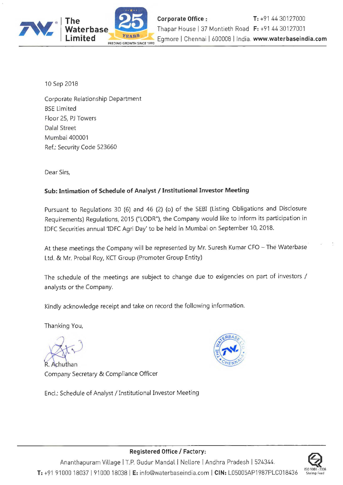

10Sep2018

Corporate Relationship Department BSE Limited Floor 25, PJ Towers Dalal Street Mumbai 400001 Ref.: Security Code 523660

Dear Sirs,

## **Sub: Intimation of Schedule of Analyst / Institutional Investor Meeting**

Pursuant to Regulations 30 (6) and 46 (2) (o) of the SEBI (Listing Obligations and Disclosure Requirements) Regulations, 2015 ("LODR"), the Company would like to inform its participation in IDFC Securities annual 'IDFC Agri Day' to be held in Mumbai on September 10, 2018.

At these meetings the Company will be represented by Mr. Suresh Kumar CFO - The Waterbase Ltd. & Mr. Probal Roy, KCT Group (Promoter Group Entity)

The schedule of the meetings are subject to change due to exigencies on part of investors/ analysts or the Company.

Kindly acknowledge receipt and take on record the following information.

Thanking You,

Achuthan Company Secretary & Compliance Officer

Encl.: Schedule of Analyst/ Institutional Investor Meeting





## **Registered Office/ Factory:**

Ananthapuram Village | T.P. Gudur Mandal | Nellore | Andhra Pradesh | 524344. **T:** +91 91000 18037 I 91000 18038 **IE:** info@waterbaseindia.com I **CIN:** L05005AP1987PLC018436 ISO 900 I : 2008